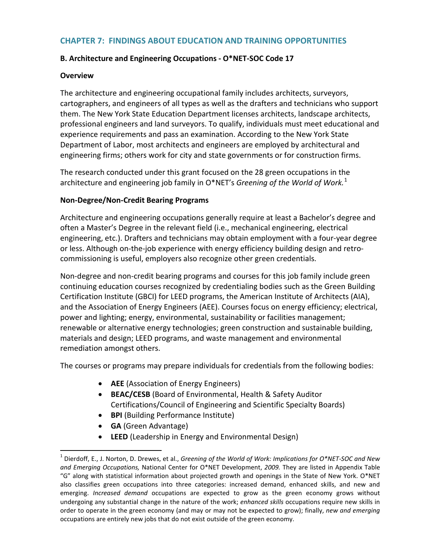## **CHAPTER 7: FINDINGS ABOUT EDUCATION AND TRAINING OPPORTUNITIES**

### **B. Architecture and Engineering Occupations - O\*NET-SOC Code 17**

### **Overview**

The architecture and engineering occupational family includes architects, surveyors, cartographers, and engineers of all types as well as the drafters and technicians who support them. The New York State Education Department licenses architects, landscape architects, professional engineers and land surveyors. To qualify, individuals must meet educational and experience requirements and pass an examination. According to the New York State Department of Labor, most architects and engineers are employed by architectural and engineering firms; others work for city and state governments or for construction firms.

The research conducted under this grant focused on the 28 green occupations in the architecture and engineering job family in O\*NET's *Greening of the World of Work.*[1](#page-0-0)

### **Non-Degree/Non-Credit Bearing Programs**

Architecture and engineering occupations generally require at least a Bachelor's degree and often a Master's Degree in the relevant field (i.e., mechanical engineering, electrical engineering, etc.). Drafters and technicians may obtain employment with a four-year degree or less. Although on-the-job experience with energy efficiency building design and retrocommissioning is useful, employers also recognize other green credentials.

Non-degree and non-credit bearing programs and courses for this job family include green continuing education courses recognized by credentialing bodies such as the Green Building Certification Institute (GBCI) for LEED programs, the American Institute of Architects (AIA), and the Association of Energy Engineers (AEE). Courses focus on energy efficiency; electrical, power and lighting; energy, environmental, sustainability or facilities management; renewable or alternative energy technologies; green construction and sustainable building, materials and design; LEED programs, and waste management and environmental remediation amongst others.

The courses or programs may prepare individuals for credentials from the following bodies:

- **AEE** (Association of Energy Engineers)
- **BEAC/CESB** (Board of Environmental, Health & Safety Auditor Certifications/Council of Engineering and Scientific Specialty Boards)
- **BPI** (Building Performance Institute)
- **GA** (Green Advantage)
- **LEED** (Leadership in Energy and Environmental Design)

<span id="page-0-0"></span> <sup>1</sup> Dierdoff, E., J. Norton, D. Drewes, et al., *Greening of the World of Work: Implications for O\*NET-SOC and New and Emerging Occupations,* National Center for O\*NET Development, *2009.* They are listed in Appendix Table "G" along with statistical information about projected growth and openings in the State of New York. O\*NET also classifies green occupations into three categories: increased demand, enhanced skills, and new and emerging. *Increased demand* occupations are expected to grow as the green economy grows without undergoing any substantial change in the nature of the work; *enhanced skills* occupations require new skills in order to operate in the green economy (and may or may not be expected to grow); finally, *new and emerging* occupations are entirely new jobs that do not exist outside of the green economy.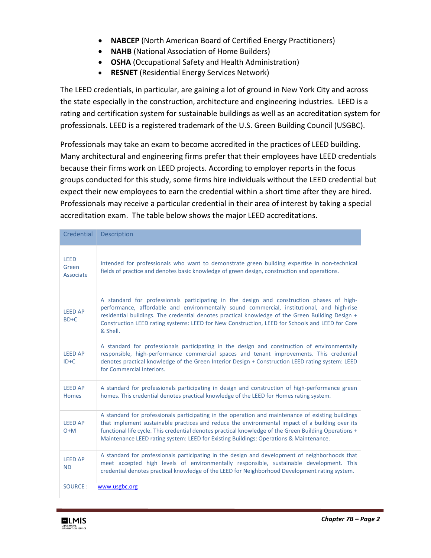- **NABCEP** (North American Board of Certified Energy Practitioners)
- **NAHB** (National Association of Home Builders)
- **OSHA** (Occupational Safety and Health Administration)
- **RESNET** (Residential Energy Services Network)

The LEED credentials, in particular, are gaining a lot of ground in New York City and across the state especially in the construction, architecture and engineering industries. LEED is a rating and certification system for sustainable buildings as well as an accreditation system for professionals. LEED is a registered trademark of the U.S. Green Building Council (USGBC).

Professionals may take an exam to become accredited in the practices of LEED building. Many architectural and engineering firms prefer that their employees have LEED credentials because their firms work on LEED projects. According to employer reports in the focus groups conducted for this study, some firms hire individuals without the LEED credential but expect their new employees to earn the credential within a short time after they are hired. Professionals may receive a particular credential in their area of interest by taking a special accreditation exam. The table below shows the major LEED accreditations.

| Credential                        | Description                                                                                                                                                                                                                                                                                                                                                                                                |
|-----------------------------------|------------------------------------------------------------------------------------------------------------------------------------------------------------------------------------------------------------------------------------------------------------------------------------------------------------------------------------------------------------------------------------------------------------|
| <b>LEED</b><br>Green<br>Associate | Intended for professionals who want to demonstrate green building expertise in non-technical<br>fields of practice and denotes basic knowledge of green design, construction and operations.                                                                                                                                                                                                               |
| <b>LEED AP</b><br>BD+C            | A standard for professionals participating in the design and construction phases of high-<br>performance, affordable and environmentally sound commercial, institutional, and high-rise<br>residential buildings. The credential denotes practical knowledge of the Green Building Design +<br>Construction LEED rating systems: LEED for New Construction, LEED for Schools and LEED for Core<br>& Shell. |
| <b>LEED AP</b><br>$ID + C$        | A standard for professionals participating in the design and construction of environmentally<br>responsible, high-performance commercial spaces and tenant improvements. This credential<br>denotes practical knowledge of the Green Interior Design + Construction LEED rating system: LEED<br>for Commercial Interiors.                                                                                  |
| <b>LEED AP</b><br><b>Homes</b>    | A standard for professionals participating in design and construction of high-performance green<br>homes. This credential denotes practical knowledge of the LEED for Homes rating system.                                                                                                                                                                                                                 |
| <b>LEED AP</b><br>$O+M$           | A standard for professionals participating in the operation and maintenance of existing buildings<br>that implement sustainable practices and reduce the environmental impact of a building over its<br>functional life cycle. This credential denotes practical knowledge of the Green Building Operations +<br>Maintenance LEED rating system: LEED for Existing Buildings: Operations & Maintenance.    |
| <b>LEED AP</b><br><b>ND</b>       | A standard for professionals participating in the design and development of neighborhoods that<br>meet accepted high levels of environmentally responsible, sustainable development. This<br>credential denotes practical knowledge of the LEED for Neighborhood Development rating system.                                                                                                                |
| SOURCE:                           | www.usgbc.org                                                                                                                                                                                                                                                                                                                                                                                              |

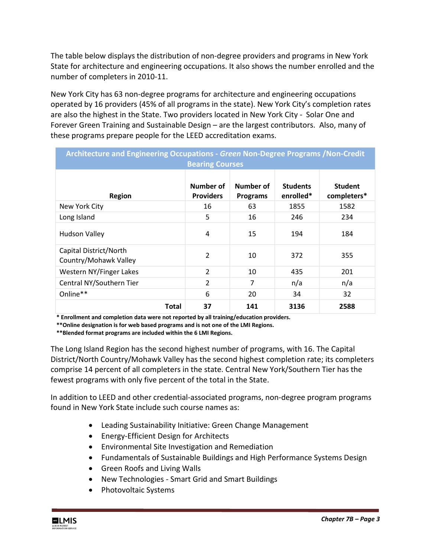The table below displays the distribution of non-degree providers and programs in New York State for architecture and engineering occupations. It also shows the number enrolled and the number of completers in 2010-11.

New York City has 63 non-degree programs for architecture and engineering occupations operated by 16 providers (45% of all programs in the state). New York City's completion rates are also the highest in the State. Two providers located in New York City - Solar One and Forever Green Training and Sustainable Design – are the largest contributors. Also, many of these programs prepare people for the LEED accreditation exams.

| Architecture and Engineering Occupations - Green Non-Degree Programs / Non-Credit<br><b>Bearing Courses</b> |                               |                              |                              |                               |  |  |  |  |
|-------------------------------------------------------------------------------------------------------------|-------------------------------|------------------------------|------------------------------|-------------------------------|--|--|--|--|
| <b>Region</b>                                                                                               | Number of<br><b>Providers</b> | Number of<br><b>Programs</b> | <b>Students</b><br>enrolled* | <b>Student</b><br>completers* |  |  |  |  |
| New York City                                                                                               | 16                            | 63                           | 1855                         | 1582                          |  |  |  |  |
| Long Island                                                                                                 | 5                             | 16                           | 246                          | 234                           |  |  |  |  |
| <b>Hudson Valley</b>                                                                                        | 4                             | 15                           | 194                          | 184                           |  |  |  |  |
| Capital District/North<br>Country/Mohawk Valley                                                             | 2                             | 10                           | 372                          | 355                           |  |  |  |  |
| Western NY/Finger Lakes                                                                                     | $\overline{2}$                | 10                           | 435                          | 201                           |  |  |  |  |
| Central NY/Southern Tier                                                                                    | $\overline{2}$                | 7                            | n/a                          | n/a                           |  |  |  |  |
| Online**                                                                                                    | 6                             | 20                           | 34                           | 32                            |  |  |  |  |
| Total                                                                                                       | 37                            | 141                          | 3136                         | 2588                          |  |  |  |  |

 **\* Enrollment and completion data were not reported by all training/education providers.**

 **\*\*Online designation is for web based programs and is not one of the LMI Regions.**

 **\*\*Blended format programs are included within the 6 LMI Regions.**

The Long Island Region has the second highest number of programs, with 16. The Capital District/North Country/Mohawk Valley has the second highest completion rate; its completers comprise 14 percent of all completers in the state. Central New York/Southern Tier has the fewest programs with only five percent of the total in the State.

In addition to LEED and other credential-associated programs, non-degree program programs found in New York State include such course names as:

- Leading Sustainability Initiative: Green Change Management
- Energy-Efficient Design for Architects
- Environmental Site Investigation and Remediation
- Fundamentals of Sustainable Buildings and High Performance Systems Design
- Green Roofs and Living Walls
- New Technologies Smart Grid and Smart Buildings
- Photovoltaic Systems

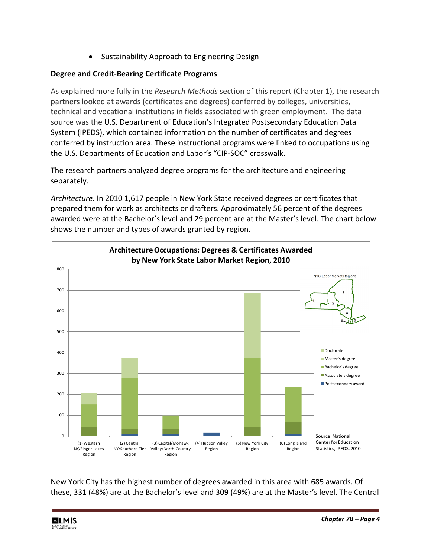• Sustainability Approach to Engineering Design

# **Degree and Credit-Bearing Certificate Programs**

As explained more fully in the *Research Methods* section of this report (Chapter 1), the research partners looked at awards (certificates and degrees) conferred by colleges, universities, technical and vocational institutions in fields associated with green employment. The data source was the U.S. Department of Education's Integrated Postsecondary Education Data System (IPEDS), which contained information on the number of certificates and degrees conferred by instruction area. These instructional programs were linked to occupations using the U.S. Departments of Education and Labor's "CIP-SOC" crosswalk.

The research partners analyzed degree programs for the architecture and engineering separately.

*Architecture.* In 2010 1,617 people in New York State received degrees or certificates that prepared them for work as architects or drafters. Approximately 56 percent of the degrees awarded were at the Bachelor's level and 29 percent are at the Master's level. The chart below shows the number and types of awards granted by region.



New York City has the highest number of degrees awarded in this area with 685 awards. Of these, 331 (48%) are at the Bachelor's level and 309 (49%) are at the Master's level. The Central

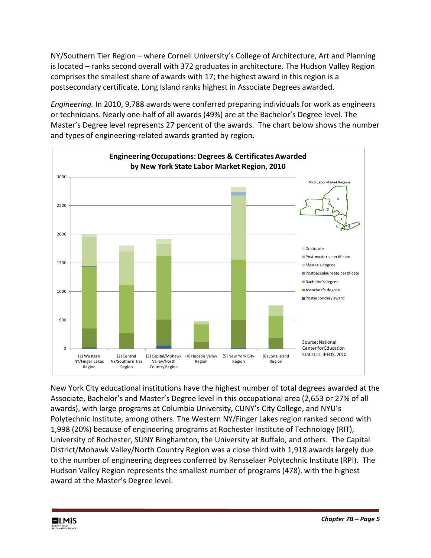NY/Southern Tier Region – where Cornell University's College of Architecture, Art and Planning is located – ranks second overall with 372 graduates in architecture. The Hudson Valley Region comprises the smallest share of awards with 17; the highest award in this region is a postsecondary certificate. Long Island ranks highest in Associate Degrees awarded.

*Engineering.* In 2010, 9,788 awards were conferred preparing individuals for work as engineers or technicians. Nearly one-half of all awards (49%) are at the Bachelor's Degree level. The Master's Degree level represents 27 percent of the awards. The chart below shows the number and types of engineering-related awards granted by region.



New York City educational institutions have the highest number of total degrees awarded at the Associate, Bachelor's and Master's Degree level in this occupational area (2,653 or 27% of all awards), with large programs at Columbia University, CUNY's City College, and NYU's Polytechnic Institute, among others. The Western NY/Finger Lakes region ranked second with 1,998 (20%) because of engineering programs at Rochester Institute of Technology (RIT), University of Rochester, SUNY Binghamton, the University at Buffalo, and others. The Capital District/Mohawk Valley/North Country Region was a close third with 1,918 awards largely due to the number of engineering degrees conferred by Rensselaer Polytechnic Institute (RPI). The Hudson Valley Region represents the smallest number of programs (478), with the highest award at the Master's Degree level.

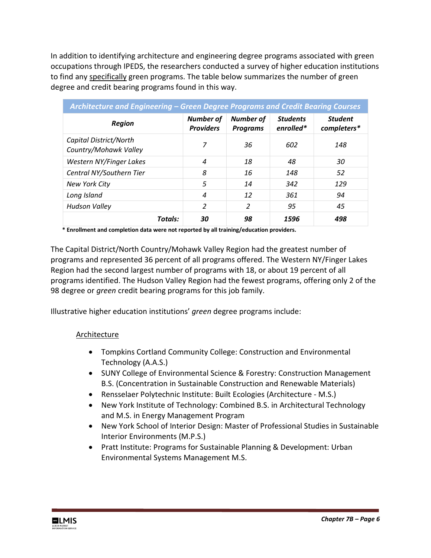In addition to identifying architecture and engineering degree programs associated with green occupations through IPEDS, the researchers conducted a survey of higher education institutions to find any specifically green programs. The table below summarizes the number of green degree and credit bearing programs found in this way.

| Architecture and Engineering - Green Degree Programs and Credit Bearing Courses |                                      |                                     |                              |                               |  |  |  |  |
|---------------------------------------------------------------------------------|--------------------------------------|-------------------------------------|------------------------------|-------------------------------|--|--|--|--|
| <b>Region</b>                                                                   | <b>Number of</b><br><b>Providers</b> | <b>Number of</b><br><b>Programs</b> | <b>Students</b><br>enrolled* | <b>Student</b><br>completers* |  |  |  |  |
| Capital District/North<br>Country/Mohawk Valley                                 | 7                                    | 36                                  | 602                          | 148                           |  |  |  |  |
| Western NY/Finger Lakes                                                         | $\boldsymbol{4}$                     | 18                                  | 48                           | 30                            |  |  |  |  |
| Central NY/Southern Tier                                                        | 8                                    | 16                                  | 148                          | 52                            |  |  |  |  |
| New York City                                                                   | 5                                    | 14                                  | 342                          | 129                           |  |  |  |  |
| Long Island                                                                     | $\boldsymbol{4}$                     | 12                                  | 361                          | 94                            |  |  |  |  |
| <b>Hudson Valley</b>                                                            | 2                                    | 2                                   | 95                           | 45                            |  |  |  |  |
| <b>Totals:</b>                                                                  | 30                                   | 98                                  | 1596                         | 498                           |  |  |  |  |

 **\* Enrollment and completion data were not reported by all training/education providers.**

The Capital District/North Country/Mohawk Valley Region had the greatest number of programs and represented 36 percent of all programs offered. The Western NY/Finger Lakes Region had the second largest number of programs with 18, or about 19 percent of all programs identified. The Hudson Valley Region had the fewest programs, offering only 2 of the 98 degree or *green* credit bearing programs for this job family.

Illustrative higher education institutions' *green* degree programs include:

## Architecture

- Tompkins Cortland Community College: Construction and Environmental Technology (A.A.S.)
- SUNY College of Environmental Science & Forestry: Construction Management B.S. (Concentration in Sustainable Construction and Renewable Materials)
- Rensselaer Polytechnic Institute: Built Ecologies (Architecture M.S.)
- New York Institute of Technology: Combined B.S. in Architectural Technology and M.S. in Energy Management Program
- New York School of Interior Design: Master of Professional Studies in Sustainable Interior Environments (M.P.S.)
- Pratt Institute: Programs for Sustainable Planning & Development: Urban Environmental Systems Management M.S.

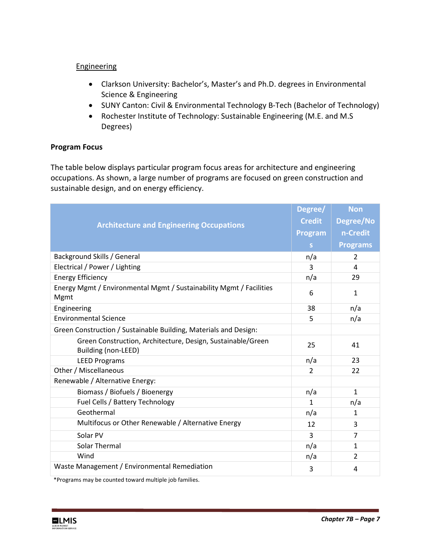### **Engineering**

- Clarkson University: Bachelor's, Master's and Ph.D. degrees in Environmental Science & Engineering
- SUNY Canton: Civil & Environmental Technology B-Tech (Bachelor of Technology)
- Rochester Institute of Technology: Sustainable Engineering (M.E. and M.S Degrees)

## **Program Focus**

The table below displays particular program focus areas for architecture and engineering occupations. As shown, a large number of programs are focused on green construction and sustainable design, and on energy efficiency.

| <b>Architecture and Engineering Occupations</b>                                           |                | <b>Non</b>      |
|-------------------------------------------------------------------------------------------|----------------|-----------------|
|                                                                                           |                | Degree/No       |
|                                                                                           |                | n-Credit        |
|                                                                                           | S.             | <b>Programs</b> |
| Background Skills / General                                                               | n/a            | $\overline{2}$  |
| Electrical / Power / Lighting                                                             | 3              | 4               |
| <b>Energy Efficiency</b>                                                                  | n/a            | 29              |
| Energy Mgmt / Environmental Mgmt / Sustainability Mgmt / Facilities<br>Mgmt               |                | $\mathbf{1}$    |
| Engineering                                                                               | 38             | n/a             |
| <b>Environmental Science</b>                                                              | 5              | n/a             |
| Green Construction / Sustainable Building, Materials and Design:                          |                |                 |
| Green Construction, Architecture, Design, Sustainable/Green<br><b>Building (non-LEED)</b> | 25             | 41              |
| <b>LEED Programs</b>                                                                      | n/a            | 23              |
| Other / Miscellaneous                                                                     | $\overline{2}$ | 22              |
| Renewable / Alternative Energy:                                                           |                |                 |
| Biomass / Biofuels / Bioenergy                                                            | n/a            | $\mathbf{1}$    |
| Fuel Cells / Battery Technology                                                           | 1              | n/a             |
| Geothermal                                                                                | n/a            | 1               |
| Multifocus or Other Renewable / Alternative Energy                                        | 12             | 3               |
| Solar PV                                                                                  | 3              | $\overline{7}$  |
| Solar Thermal                                                                             | n/a            | $\mathbf{1}$    |
| Wind                                                                                      | n/a            | $\overline{2}$  |
| Waste Management / Environmental Remediation                                              | 3              | 4               |

\*Programs may be counted toward multiple job families.